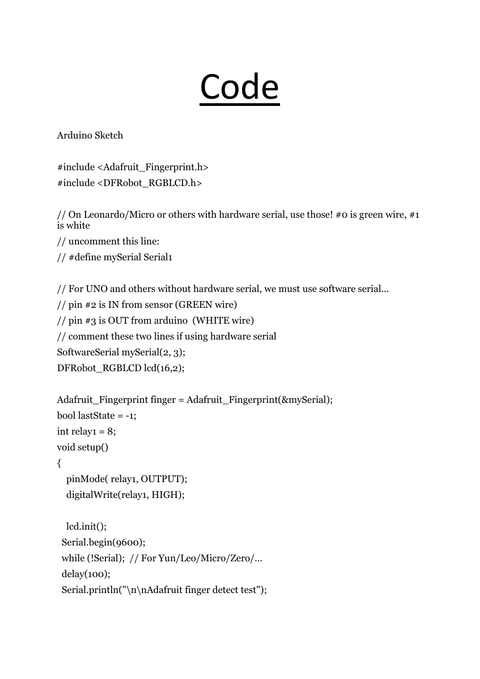## **Code**

Arduino Sketch

#include <Adafruit\_Fingerprint.h> #include <DFRobot\_RGBLCD.h>

// On Leonardo/Micro or others with hardware serial, use those! #0 is green wire, #1 is white

// uncomment this line:

// #define mySerial Serial1

// For UNO and others without hardware serial, we must use software serial...

// pin #2 is IN from sensor (GREEN wire)

// pin #3 is OUT from arduino (WHITE wire)

// comment these two lines if using hardware serial

SoftwareSerial mySerial(2, 3);

```
DFRobot_RGBLCD lcd(16,2);
```

```
Adafruit Fingerprint finger = Adafruit Fingerprint(\&mySerial);
bool lastState = -1;
int relay1 = 8;
void setup() 
{
  pinMode( relay1, OUTPUT);
```

```
digitalWrite(relay1, HIGH);
```

```
lcd.init();
Serial.begin(9600);
while (!Serial); // For Yun/Leo/Micro/Zero/...
delay(100);
Serial.println("\n\nAdafruit finger detect test");
```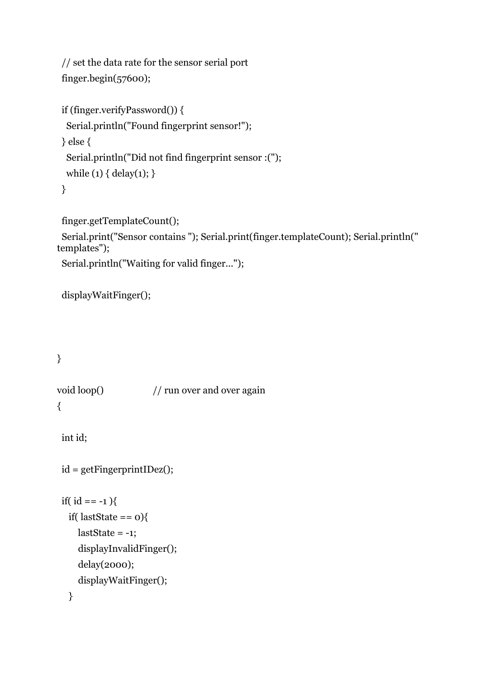// set the data rate for the sensor serial port finger.begin(57600);

```
if (finger.verifyPassword()) {
 Serial.println("Found fingerprint sensor!");
} else {
 Serial.println("Did not find fingerprint sensor :(");
 while (1) { delay(1); }
}
```
finger.getTemplateCount();

Serial.print("Sensor contains "); Serial.print(finger.templateCount); Serial.println(" templates");

Serial.println("Waiting for valid finger...");

```
displayWaitFinger();
```
## }

void loop()  $\frac{1}{2}$  // run over and over again {

```
int id;
```

```
id = getFingerprintIDez();
```

```
if(id == -1){
 if(lastState == 0}{
   lastState = -1;displayInvalidFinger();
   delay(2000);
   displayWaitFinger();
 }
```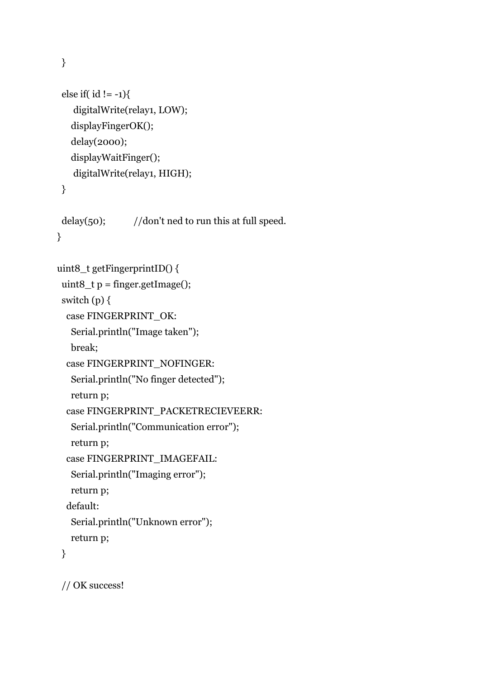else if(  $id$  != -1){ digitalWrite(relay1, LOW); displayFingerOK();

delay(2000); displayWaitFinger(); digitalWrite(relay1, HIGH);

}

delay(50);  $// don't ned to run this at full speed.$ }

```
uint8_t getFingerprintID() {
```
uint8\_t  $p = finger.getImage()$ ;

switch  $(p)$  {

case FINGERPRINT\_OK:

Serial.println("Image taken");

break;

```
case FINGERPRINT_NOFINGER:
```
Serial.println("No finger detected");

return p;

```
case FINGERPRINT_PACKETRECIEVEERR:
```

```
Serial.println("Communication error");
```
return p;

```
case FINGERPRINT_IMAGEFAIL:
```

```
Serial.println("Imaging error");
```
return p;

```
default:
```

```
Serial.println("Unknown error");
```

```
return p;
```
}

// OK success!

}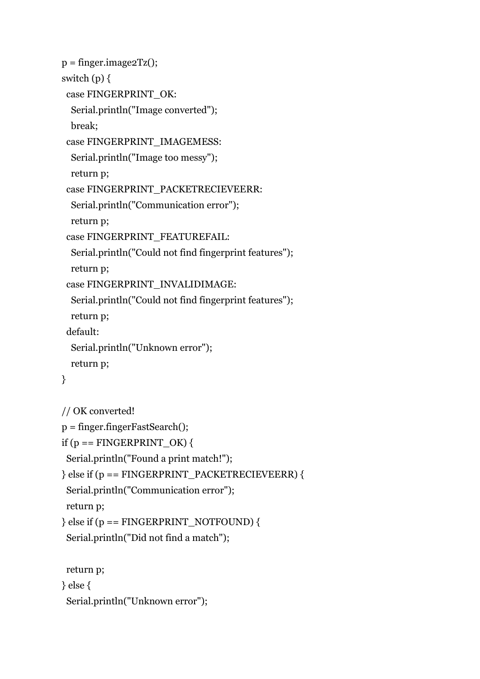```
p = finger. image2Tz();switch (p) {
 case FINGERPRINT_OK:
  Serial.println("Image converted");
  break;
 case FINGERPRINT_IMAGEMESS:
  Serial.println("Image too messy");
  return p;
 case FINGERPRINT_PACKETRECIEVEERR:
  Serial.println("Communication error");
  return p;
 case FINGERPRINT_FEATUREFAIL:
  Serial.println("Could not find fingerprint features");
  return p;
 case FINGERPRINT_INVALIDIMAGE:
  Serial.println("Could not find fingerprint features");
  return p;
 default:
  Serial.println("Unknown error");
  return p;
}
// OK converted!
p = finger.fingerFastSearch();
if (p == \text{FINGERPRINT OK}) {
 Serial.println("Found a print match!");
} else if (p == FINGERPRINT_PACKETRECIEVEERR) {
 Serial.println("Communication error");
 return p;
\} else if (p == FINGERPRINT_NOTFOUND) {
 Serial.println("Did not find a match");
 return p;
} else {
 Serial.println("Unknown error");
```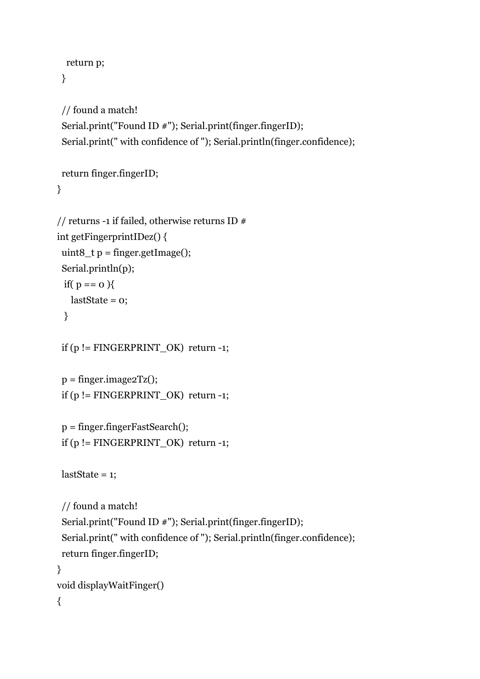```
return p;
}
```

```
// found a match!
Serial.print("Found ID #"); Serial.print(finger.fingerID);
Serial.print(" with confidence of "); Serial.println(finger.confidence);
```

```
return finger.fingerID;
```
}

```
// returns -1 if failed, otherwise returns ID #int getFingerprintIDez() {
 uint8_t p = finger.getImage();
 Serial.println(p);
 if( p == 0 ){
   lastState = 0;}
 if (p != \text{FINGERPRINT_OK}) return -1;
 p = finger. image2Tz();if (p != FINGERPRINT OK) return -1;
 p = finger.fingerFastSearch();
 if (p != FINGERPRINT_OK) return -1;
 lastState = 1;
```

```
// found a match!
 Serial.print("Found ID #"); Serial.print(finger.fingerID);
 Serial.print(" with confidence of "); Serial.println(finger.confidence);
 return finger.fingerID;
}
void displayWaitFinger()
{
```